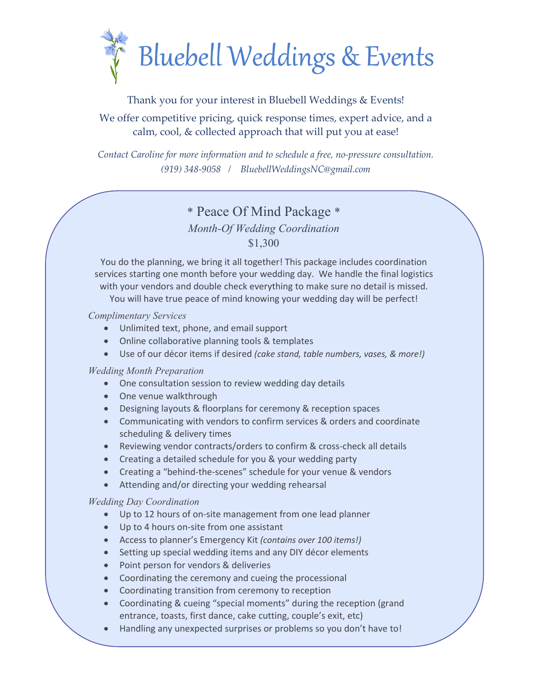

### Thank you for your interest in Bluebell Weddings & Events!

## We offer competitive pricing, quick response times, expert advice, and a calm, cool, & collected approach that will put you at ease!

*Contact Caroline for more information and to schedule a free, no-pressure consultation. (919) 348-9058 / BluebellWeddingsNC@gmail.com*

# \* Peace Of Mind Package \*

### *Month-Of Wedding Coordination* \$1,300

You do the planning, we bring it all together! This package includes coordination services starting one month before your wedding day. We handle the final logistics with your vendors and double check everything to make sure no detail is missed. You will have true peace of mind knowing your wedding day will be perfect!

#### *Complimentary Services*

- Unlimited text, phone, and email support
- Online collaborative planning tools & templates
- Use of our décor items if desired *(cake stand, table numbers, vases, & more!)*

### *Wedding Month Preparation*

- One consultation session to review wedding day details
- One venue walkthrough
- Designing layouts & floorplans for ceremony & reception spaces
- Communicating with vendors to confirm services & orders and coordinate scheduling & delivery times
- Reviewing vendor contracts/orders to confirm & cross-check all details
- Creating a detailed schedule for you & your wedding party
- Creating a "behind-the-scenes" schedule for your venue & vendors
- Attending and/or directing your wedding rehearsal

#### *Wedding Day Coordination*

- Up to 12 hours of on-site management from one lead planner
- Up to 4 hours on-site from one assistant
- Access to planner's Emergency Kit *(contains over 100 items!)*
- Setting up special wedding items and any DIY décor elements
- Point person for vendors & deliveries
- Coordinating the ceremony and cueing the processional
- Coordinating transition from ceremony to reception
- Coordinating & cueing "special moments" during the reception (grand entrance, toasts, first dance, cake cutting, couple's exit, etc)
- Handling any unexpected surprises or problems so you don't have to!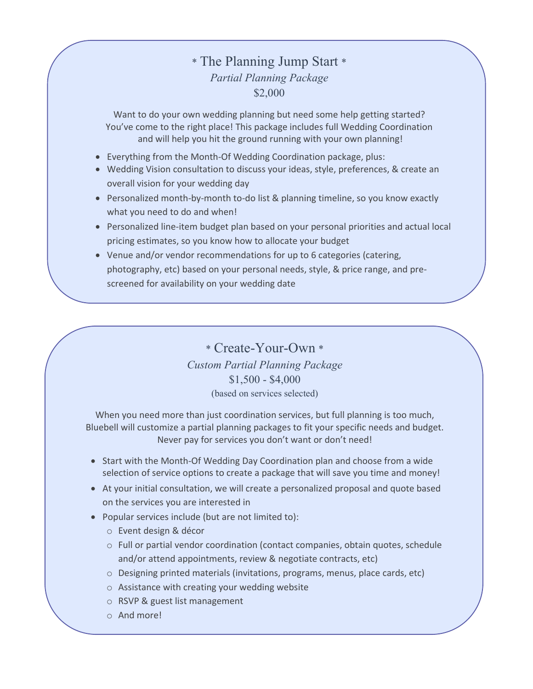# \* The Planning Jump Start \* *Partial Planning Package* \$2,000

Want to do your own wedding planning but need some help getting started? You've come to the right place! This package includes full Wedding Coordination and will help you hit the ground running with your own planning!

- Everything from the Month-Of Wedding Coordination package, plus:
- Wedding Vision consultation to discuss your ideas, style, preferences, & create an overall vision for your wedding day
- Personalized month-by-month to-do list & planning timeline, so you know exactly what you need to do and when!
- Personalized line-item budget plan based on your personal priorities and actual local pricing estimates, so you know how to allocate your budget
- Venue and/or vendor recommendations for up to 6 categories (catering, photography, etc) based on your personal needs, style, & price range, and prescreened for availability on your wedding date

\* Create-Your-Own \* *Custom Partial Planning Package* \$1,500 - \$4,000 (based on services selected)

When you need more than just coordination services, but full planning is too much, Bluebell will customize a partial planning packages to fit your specific needs and budget. Never pay for services you don't want or don't need!

- Start with the Month-Of Wedding Day Coordination plan and choose from a wide selection of service options to create a package that will save you time and money!
- At your initial consultation, we will create a personalized proposal and quote based on the services you are interested in
- Popular services include (but are not limited to):
	- o Event design & décor
	- o Full or partial vendor coordination (contact companies, obtain quotes, schedule and/or attend appointments, review & negotiate contracts, etc)
	- o Designing printed materials (invitations, programs, menus, place cards, etc)
	- o Assistance with creating your wedding website
	- o RSVP & guest list management
	- o And more!